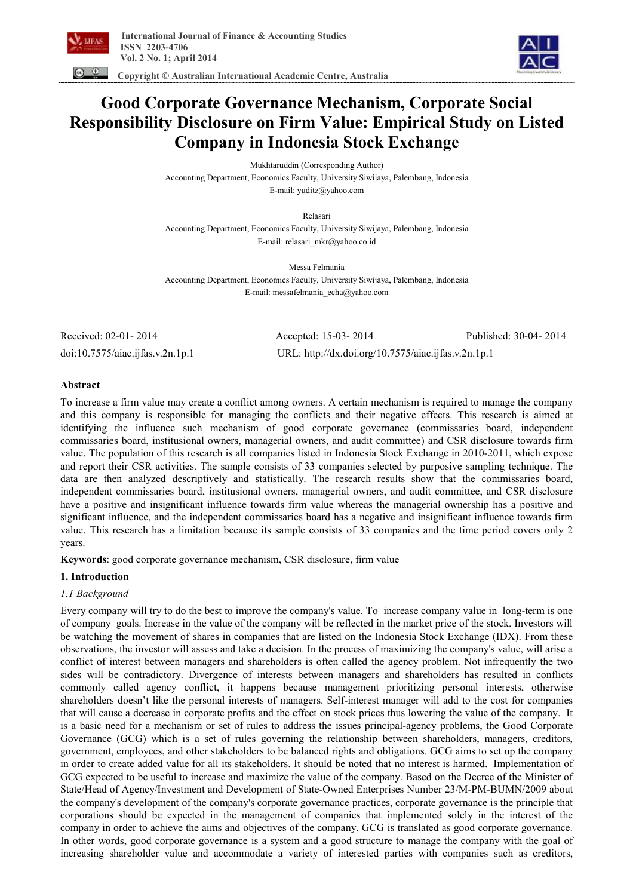

 **Copyright © Australian International Academic Centre, Australia** 

# **Good Corporate Governance Mechanism, Corporate Social Responsibility Disclosure on Firm Value: Empirical Study on Listed Company in Indonesia Stock Exchange**

Mukhtaruddin (Corresponding Author) Accounting Department, Economics Faculty, University Siwijaya, Palembang, Indonesia E-mail: yuditz@yahoo.com

Relasari

Accounting Department, Economics Faculty, University Siwijaya, Palembang, Indonesia E-mail: relasari\_mkr@yahoo.co.id

Messa Felmania Accounting Department, Economics Faculty, University Siwijaya, Palembang, Indonesia E-mail: messafelmania\_echa@yahoo.com

Received: 02-01- 2014 Accepted: 15-03- 2014 Published: 30-04- 2014 doi:10.7575/aiac.ijfas.v.2n.1p.1 URL: http://dx.doi.org/10.7575/aiac.ijfas.v.2n.1p.1

# **Abstract**

To increase a firm value may create a conflict among owners. A certain mechanism is required to manage the company and this company is responsible for managing the conflicts and their negative effects. This research is aimed at identifying the influence such mechanism of good corporate governance (commissaries board, independent commissaries board, institusional owners, managerial owners, and audit committee) and CSR disclosure towards firm value. The population of this research is all companies listed in Indonesia Stock Exchange in 2010-2011, which expose and report their CSR activities. The sample consists of 33 companies selected by purposive sampling technique. The data are then analyzed descriptively and statistically. The research results show that the commissaries board, independent commissaries board, institusional owners, managerial owners, and audit committee, and CSR disclosure have a positive and insignificant influence towards firm value whereas the managerial ownership has a positive and significant influence, and the independent commissaries board has a negative and insignificant influence towards firm value. This research has a limitation because its sample consists of 33 companies and the time period covers only 2 years.

**Keywords**: good corporate governance mechanism, CSR disclosure, firm value

# **1. Introduction**

# *1.1 Background*

Every company will try to do the best to improve the company's value. To increase company value in long-term is one of company goals. Increase in the value of the company will be reflected in the market price of the stock. Investors will be watching the movement of shares in companies that are listed on the Indonesia Stock Exchange (IDX). From these observations, the investor will assess and take a decision. In the process of maximizing the company's value, will arise a conflict of interest between managers and shareholders is often called the agency problem. Not infrequently the two sides will be contradictory. Divergence of interests between managers and shareholders has resulted in conflicts commonly called agency conflict, it happens because management prioritizing personal interests, otherwise shareholders doesn't like the personal interests of managers. Self-interest manager will add to the cost for companies that will cause a decrease in corporate profits and the effect on stock prices thus lowering the value of the company. It is a basic need for a mechanism or set of rules to address the issues principal-agency problems, the Good Corporate Governance (GCG) which is a set of rules governing the relationship between shareholders, managers, creditors, government, employees, and other stakeholders to be balanced rights and obligations. GCG aims to set up the company in order to create added value for all its stakeholders. It should be noted that no interest is harmed. Implementation of GCG expected to be useful to increase and maximize the value of the company. Based on the Decree of the Minister of State/Head of Agency/Investment and Development of State-Owned Enterprises Number 23/M-PM-BUMN/2009 about the company's development of the company's corporate governance practices, corporate governance is the principle that corporations should be expected in the management of companies that implemented solely in the interest of the company in order to achieve the aims and objectives of the company. GCG is translated as good corporate governance. In other words, good corporate governance is a system and a good structure to manage the company with the goal of increasing shareholder value and accommodate a variety of interested parties with companies such as creditors,

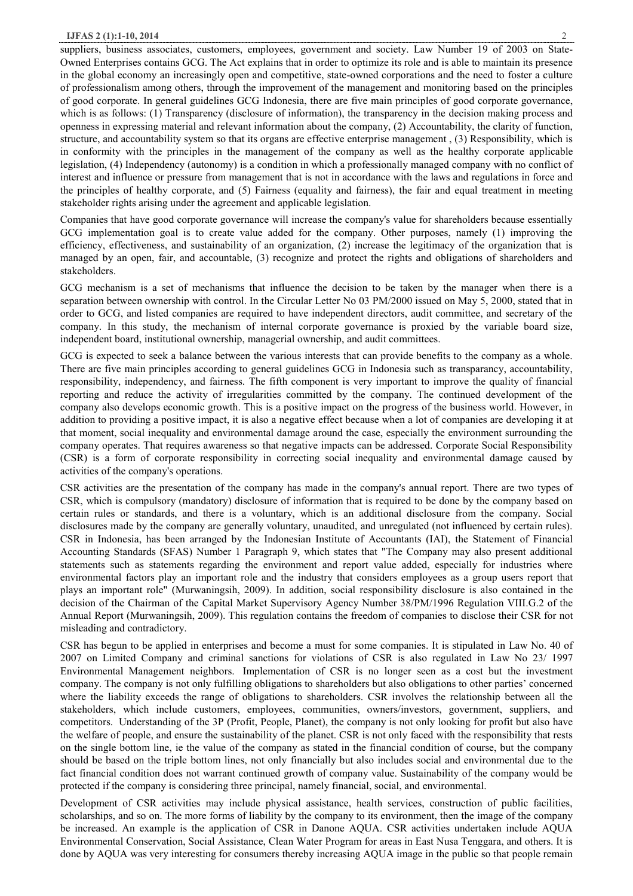suppliers, business associates, customers, employees, government and society. Law Number 19 of 2003 on State-Owned Enterprises contains GCG. The Act explains that in order to optimize its role and is able to maintain its presence in the global economy an increasingly open and competitive, state-owned corporations and the need to foster a culture of professionalism among others, through the improvement of the management and monitoring based on the principles of good corporate. In general guidelines GCG Indonesia, there are five main principles of good corporate governance, which is as follows: (1) Transparency (disclosure of information), the transparency in the decision making process and openness in expressing material and relevant information about the company, (2) Accountability, the clarity of function, structure, and accountability system so that its organs are effective enterprise management , (3) Responsibility, which is in conformity with the principles in the management of the company as well as the healthy corporate applicable legislation, (4) Independency (autonomy) is a condition in which a professionally managed company with no conflict of interest and influence or pressure from management that is not in accordance with the laws and regulations in force and the principles of healthy corporate, and (5) Fairness (equality and fairness), the fair and equal treatment in meeting stakeholder rights arising under the agreement and applicable legislation.

Companies that have good corporate governance will increase the company's value for shareholders because essentially GCG implementation goal is to create value added for the company. Other purposes, namely (1) improving the efficiency, effectiveness, and sustainability of an organization, (2) increase the legitimacy of the organization that is managed by an open, fair, and accountable, (3) recognize and protect the rights and obligations of shareholders and stakeholders.

GCG mechanism is a set of mechanisms that influence the decision to be taken by the manager when there is a separation between ownership with control. In the Circular Letter No 03 PM/2000 issued on May 5, 2000, stated that in order to GCG, and listed companies are required to have independent directors, audit committee, and secretary of the company. In this study, the mechanism of internal corporate governance is proxied by the variable board size, independent board, institutional ownership, managerial ownership, and audit committees.

GCG is expected to seek a balance between the various interests that can provide benefits to the company as a whole. There are five main principles according to general guidelines GCG in Indonesia such as transparancy, accountability, responsibility, independency, and fairness. The fifth component is very important to improve the quality of financial reporting and reduce the activity of irregularities committed by the company. The continued development of the company also develops economic growth. This is a positive impact on the progress of the business world. However, in addition to providing a positive impact, it is also a negative effect because when a lot of companies are developing it at that moment, social inequality and environmental damage around the case, especially the environment surrounding the company operates. That requires awareness so that negative impacts can be addressed. Corporate Social Responsibility (CSR) is a form of corporate responsibility in correcting social inequality and environmental damage caused by activities of the company's operations.

CSR activities are the presentation of the company has made in the company's annual report. There are two types of CSR, which is compulsory (mandatory) disclosure of information that is required to be done by the company based on certain rules or standards, and there is a voluntary, which is an additional disclosure from the company. Social disclosures made by the company are generally voluntary, unaudited, and unregulated (not influenced by certain rules). CSR in Indonesia, has been arranged by the Indonesian Institute of Accountants (IAI), the Statement of Financial Accounting Standards (SFAS) Number 1 Paragraph 9, which states that "The Company may also present additional statements such as statements regarding the environment and report value added, especially for industries where environmental factors play an important role and the industry that considers employees as a group users report that plays an important role" (Murwaningsih, 2009). In addition, social responsibility disclosure is also contained in the decision of the Chairman of the Capital Market Supervisory Agency Number 38/PM/1996 Regulation VIII.G.2 of the Annual Report (Murwaningsih, 2009). This regulation contains the freedom of companies to disclose their CSR for not misleading and contradictory.

CSR has begun to be applied in enterprises and become a must for some companies. It is stipulated in Law No. 40 of 2007 on Limited Company and criminal sanctions for violations of CSR is also regulated in Law No 23/ 1997 Environmental Management neighbors. Implementation of CSR is no longer seen as a cost but the investment company. The company is not only fulfilling obligations to shareholders but also obligations to other parties' concerned where the liability exceeds the range of obligations to shareholders. CSR involves the relationship between all the stakeholders, which include customers, employees, communities, owners/investors, government, suppliers, and competitors. Understanding of the 3P (Profit, People, Planet), the company is not only looking for profit but also have the welfare of people, and ensure the sustainability of the planet. CSR is not only faced with the responsibility that rests on the single bottom line, ie the value of the company as stated in the financial condition of course, but the company should be based on the triple bottom lines, not only financially but also includes social and environmental due to the fact financial condition does not warrant continued growth of company value. Sustainability of the company would be protected if the company is considering three principal, namely financial, social, and environmental.

Development of CSR activities may include physical assistance, health services, construction of public facilities, scholarships, and so on. The more forms of liability by the company to its environment, then the image of the company be increased. An example is the application of CSR in Danone AQUA. CSR activities undertaken include AQUA Environmental Conservation, Social Assistance, Clean Water Program for areas in East Nusa Tenggara, and others. It is done by AQUA was very interesting for consumers thereby increasing AQUA image in the public so that people remain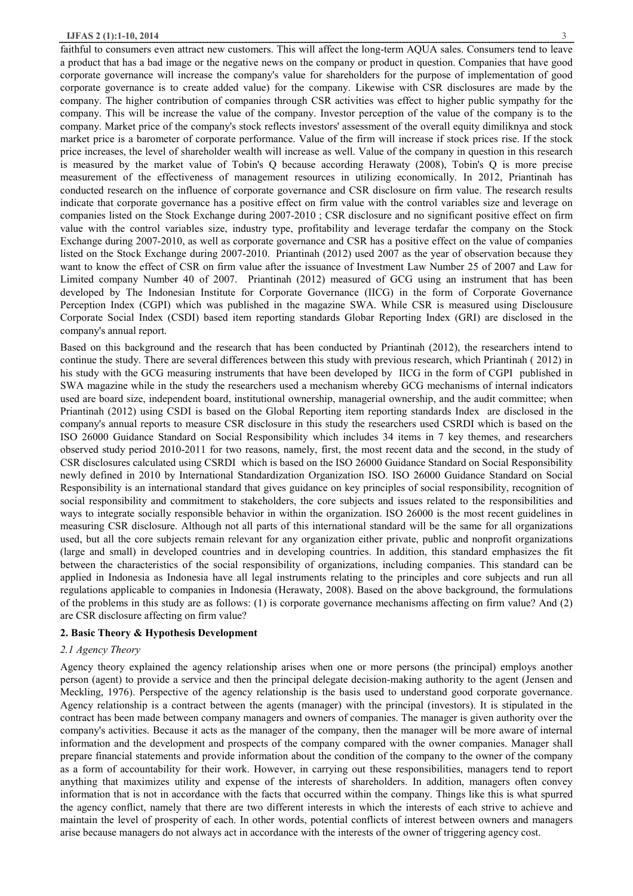faithful to consumers even attract new customers. This will affect the long-term AQUA sales. Consumers tend to leave a product that has a bad image or the negative news on the company or product in question. Companies that have good corporate governance will increase the company's value for shareholders for the purpose of implementation of good corporate governance is to create added value) for the company. Likewise with CSR disclosures are made by the company. The higher contribution of companies through CSR activities was effect to higher public sympathy for the company. This will be increase the value of the company. Investor perception of the value of the company is to the company. Market price of the company's stock reflects investors' assessment of the overall equity dimiliknya and stock market price is a barometer of corporate performance. Value of the firm will increase if stock prices rise. If the stock price increases, the level of shareholder wealth will increase as well. Value of the company in question in this research is measured by the market value of Tobin's Q because according Herawaty (2008), Tobin's Q is more precise measurement of the effectiveness of management resources in utilizing economically. In 2012, Priantinah has conducted research on the influence of corporate governance and CSR disclosure on firm value. The research results indicate that corporate governance has a positive effect on firm value with the control variables size and leverage on companies listed on the Stock Exchange during 2007-2010 ; CSR disclosure and no significant positive effect on firm value with the control variables size, industry type, profitability and leverage terdafar the company on the Stock Exchange during 2007-2010, as well as corporate governance and CSR has a positive effect on the value of companies listed on the Stock Exchange during 2007-2010. Priantinah (2012) used 2007 as the year of observation because they want to know the effect of CSR on firm value after the issuance of Investment Law Number 25 of 2007 and Law for Limited company Number 40 of 2007. Priantinah (2012) measured of GCG using an instrument that has been developed by The Indonesian Institute for Corporate Governance (IICG) in the form of Corporate Governance Perception Index (CGPI) which was published in the magazine SWA. While CSR is measured using Disclousure Corporate Social Index (CSDI) based item reporting standards Globar Reporting Index (GRI) are disclosed in the company's annual report.

Based on this background and the research that has been conducted by Priantinah (2012), the researchers intend to continue the study. There are several differences between this study with previous research, which Priantinah ( 2012) in his study with the GCG measuring instruments that have been developed by IICG in the form of CGPI published in SWA magazine while in the study the researchers used a mechanism whereby GCG mechanisms of internal indicators used are board size, independent board, institutional ownership, managerial ownership, and the audit committee; when Priantinah (2012) using CSDI is based on the Global Reporting item reporting standards Index are disclosed in the company's annual reports to measure CSR disclosure in this study the researchers used CSRDI which is based on the ISO 26000 Guidance Standard on Social Responsibility which includes 34 items in 7 key themes, and researchers observed study period 2010-2011 for two reasons, namely, first, the most recent data and the second, in the study of CSR disclosures calculated using CSRDI which is based on the ISO 26000 Guidance Standard on Social Responsibility newly defined in 2010 by International Standardization Organization ISO. ISO 26000 Guidance Standard on Social Responsibility is an international standard that gives guidance on key principles of social responsibility, recognition of social responsibility and commitment to stakeholders, the core subjects and issues related to the responsibilities and ways to integrate socially responsible behavior in within the organization. ISO 26000 is the most recent guidelines in measuring CSR disclosure. Although not all parts of this international standard will be the same for all organizations used, but all the core subjects remain relevant for any organization either private, public and nonprofit organizations (large and small) in developed countries and in developing countries. In addition, this standard emphasizes the fit between the characteristics of the social responsibility of organizations, including companies. This standard can be applied in Indonesia as Indonesia have all legal instruments relating to the principles and core subjects and run all regulations applicable to companies in Indonesia (Herawaty, 2008). Based on the above background, the formulations of the problems in this study are as follows: (1) is corporate governance mechanisms affecting on firm value? And (2) are CSR disclosure affecting on firm value?

## **2. Basic Theory & Hypothesis Development**

#### *2.1 Agency Theory*

Agency theory explained the agency relationship arises when one or more persons (the principal) employs another person (agent) to provide a service and then the principal delegate decision-making authority to the agent (Jensen and Meckling, 1976). Perspective of the agency relationship is the basis used to understand good corporate governance. Agency relationship is a contract between the agents (manager) with the principal (investors). It is stipulated in the contract has been made between company managers and owners of companies. The manager is given authority over the company's activities. Because it acts as the manager of the company, then the manager will be more aware of internal information and the development and prospects of the company compared with the owner companies. Manager shall prepare financial statements and provide information about the condition of the company to the owner of the company as a form of accountability for their work. However, in carrying out these responsibilities, managers tend to report anything that maximizes utility and expense of the interests of shareholders. In addition, managers often convey information that is not in accordance with the facts that occurred within the company. Things like this is what spurred the agency conflict, namely that there are two different interests in which the interests of each strive to achieve and maintain the level of prosperity of each. In other words, potential conflicts of interest between owners and managers arise because managers do not always act in accordance with the interests of the owner of triggering agency cost.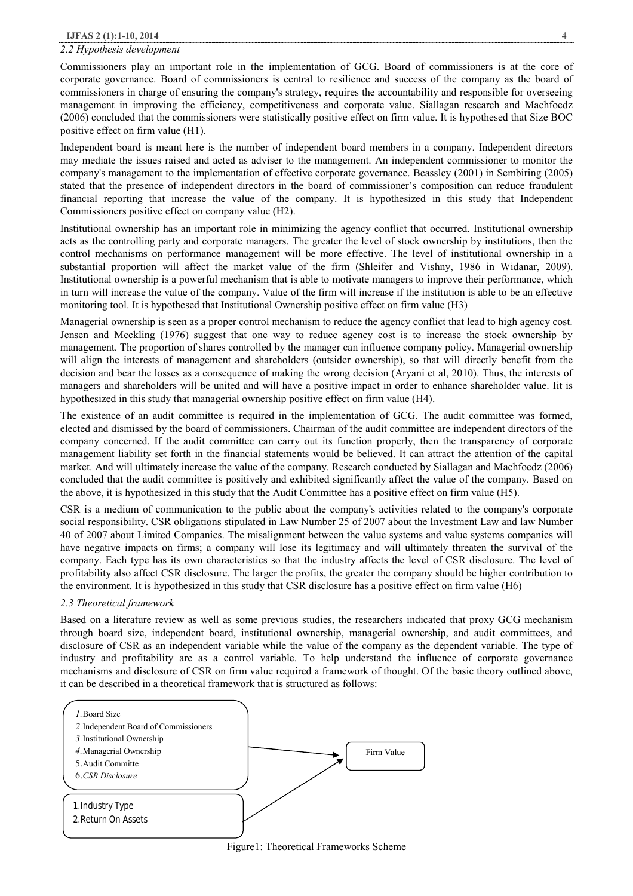#### *2.2 Hypothesis development*

Commissioners play an important role in the implementation of GCG. Board of commissioners is at the core of corporate governance. Board of commissioners is central to resilience and success of the company as the board of commissioners in charge of ensuring the company's strategy, requires the accountability and responsible for overseeing management in improving the efficiency, competitiveness and corporate value. Siallagan research and Machfoedz (2006) concluded that the commissioners were statistically positive effect on firm value. It is hypothesed that Size BOC positive effect on firm value (H1).

Independent board is meant here is the number of independent board members in a company. Independent directors may mediate the issues raised and acted as adviser to the management. An independent commissioner to monitor the company's management to the implementation of effective corporate governance. Beassley (2001) in Sembiring (2005) stated that the presence of independent directors in the board of commissioner's composition can reduce fraudulent financial reporting that increase the value of the company. It is hypothesized in this study that Independent Commissioners positive effect on company value (H2).

Institutional ownership has an important role in minimizing the agency conflict that occurred. Institutional ownership acts as the controlling party and corporate managers. The greater the level of stock ownership by institutions, then the control mechanisms on performance management will be more effective. The level of institutional ownership in a substantial proportion will affect the market value of the firm (Shleifer and Vishny, 1986 in Widanar, 2009). Institutional ownership is a powerful mechanism that is able to motivate managers to improve their performance, which in turn will increase the value of the company. Value of the firm will increase if the institution is able to be an effective monitoring tool. It is hypothesed that Institutional Ownership positive effect on firm value (H3)

Managerial ownership is seen as a proper control mechanism to reduce the agency conflict that lead to high agency cost. Jensen and Meckling (1976) suggest that one way to reduce agency cost is to increase the stock ownership by management. The proportion of shares controlled by the manager can influence company policy. Managerial ownership will align the interests of management and shareholders (outsider ownership), so that will directly benefit from the decision and bear the losses as a consequence of making the wrong decision (Aryani et al, 2010). Thus, the interests of managers and shareholders will be united and will have a positive impact in order to enhance shareholder value. Iit is hypothesized in this study that managerial ownership positive effect on firm value (H4).

The existence of an audit committee is required in the implementation of GCG. The audit committee was formed, elected and dismissed by the board of commissioners. Chairman of the audit committee are independent directors of the company concerned. If the audit committee can carry out its function properly, then the transparency of corporate management liability set forth in the financial statements would be believed. It can attract the attention of the capital market. And will ultimately increase the value of the company. Research conducted by Siallagan and Machfoedz (2006) concluded that the audit committee is positively and exhibited significantly affect the value of the company. Based on the above, it is hypothesized in this study that the Audit Committee has a positive effect on firm value (H5).

CSR is a medium of communication to the public about the company's activities related to the company's corporate social responsibility. CSR obligations stipulated in Law Number 25 of 2007 about the Investment Law and law Number 40 of 2007 about Limited Companies. The misalignment between the value systems and value systems companies will have negative impacts on firms; a company will lose its legitimacy and will ultimately threaten the survival of the company. Each type has its own characteristics so that the industry affects the level of CSR disclosure. The level of profitability also affect CSR disclosure. The larger the profits, the greater the company should be higher contribution to the environment. It is hypothesized in this study that CSR disclosure has a positive effect on firm value (H6)

## *2.3 Theoretical framework*

Based on a literature review as well as some previous studies, the researchers indicated that proxy GCG mechanism through board size, independent board, institutional ownership, managerial ownership, and audit committees, and disclosure of CSR as an independent variable while the value of the company as the dependent variable. The type of industry and profitability are as a control variable. To help understand the influence of corporate governance mechanisms and disclosure of CSR on firm value required a framework of thought. Of the basic theory outlined above, it can be described in a theoretical framework that is structured as follows:



Figure1: Theoretical Frameworks Scheme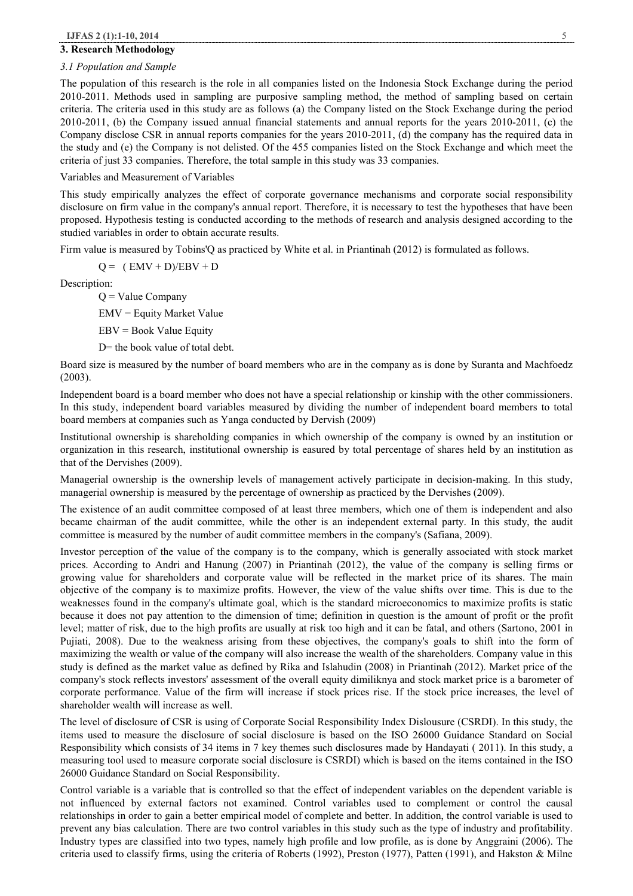#### **3. Research Methodology**

#### *3.1 Population and Sample*

The population of this research is the role in all companies listed on the Indonesia Stock Exchange during the period 2010-2011. Methods used in sampling are purposive sampling method, the method of sampling based on certain criteria. The criteria used in this study are as follows (a) the Company listed on the Stock Exchange during the period 2010-2011, (b) the Company issued annual financial statements and annual reports for the years 2010-2011, (c) the Company disclose CSR in annual reports companies for the years 2010-2011, (d) the company has the required data in the study and (e) the Company is not delisted. Of the 455 companies listed on the Stock Exchange and which meet the criteria of just 33 companies. Therefore, the total sample in this study was 33 companies.

#### Variables and Measurement of Variables

This study empirically analyzes the effect of corporate governance mechanisms and corporate social responsibility disclosure on firm value in the company's annual report. Therefore, it is necessary to test the hypotheses that have been proposed. Hypothesis testing is conducted according to the methods of research and analysis designed according to the studied variables in order to obtain accurate results.

Firm value is measured by Tobins'Q as practiced by White et al. in Priantinah (2012) is formulated as follows.

 $Q = (EMV + D)/EBV + D$ 

Description:

 $Q =$  Value Company

EMV = Equity Market Value

EBV = Book Value Equity

D= the book value of total debt.

Board size is measured by the number of board members who are in the company as is done by Suranta and Machfoedz (2003).

Independent board is a board member who does not have a special relationship or kinship with the other commissioners. In this study, independent board variables measured by dividing the number of independent board members to total board members at companies such as Yanga conducted by Dervish (2009)

Institutional ownership is shareholding companies in which ownership of the company is owned by an institution or organization in this research, institutional ownership is easured by total percentage of shares held by an institution as that of the Dervishes (2009).

Managerial ownership is the ownership levels of management actively participate in decision-making. In this study, managerial ownership is measured by the percentage of ownership as practiced by the Dervishes (2009).

The existence of an audit committee composed of at least three members, which one of them is independent and also became chairman of the audit committee, while the other is an independent external party. In this study, the audit committee is measured by the number of audit committee members in the company's (Safiana, 2009).

Investor perception of the value of the company is to the company, which is generally associated with stock market prices. According to Andri and Hanung (2007) in Priantinah (2012), the value of the company is selling firms or growing value for shareholders and corporate value will be reflected in the market price of its shares. The main objective of the company is to maximize profits. However, the view of the value shifts over time. This is due to the weaknesses found in the company's ultimate goal, which is the standard microeconomics to maximize profits is static because it does not pay attention to the dimension of time; definition in question is the amount of profit or the profit level; matter of risk, due to the high profits are usually at risk too high and it can be fatal, and others (Sartono, 2001 in Pujiati, 2008). Due to the weakness arising from these objectives, the company's goals to shift into the form of maximizing the wealth or value of the company will also increase the wealth of the shareholders. Company value in this study is defined as the market value as defined by Rika and Islahudin (2008) in Priantinah (2012). Market price of the company's stock reflects investors' assessment of the overall equity dimiliknya and stock market price is a barometer of corporate performance. Value of the firm will increase if stock prices rise. If the stock price increases, the level of shareholder wealth will increase as well.

The level of disclosure of CSR is using of Corporate Social Responsibility Index Dislousure (CSRDI). In this study, the items used to measure the disclosure of social disclosure is based on the ISO 26000 Guidance Standard on Social Responsibility which consists of 34 items in 7 key themes such disclosures made by Handayati ( 2011). In this study, a measuring tool used to measure corporate social disclosure is CSRDI) which is based on the items contained in the ISO 26000 Guidance Standard on Social Responsibility.

Control variable is a variable that is controlled so that the effect of independent variables on the dependent variable is not influenced by external factors not examined. Control variables used to complement or control the causal relationships in order to gain a better empirical model of complete and better. In addition, the control variable is used to prevent any bias calculation. There are two control variables in this study such as the type of industry and profitability. Industry types are classified into two types, namely high profile and low profile, as is done by Anggraini (2006). The criteria used to classify firms, using the criteria of Roberts (1992), Preston (1977), Patten (1991), and Hakston & Milne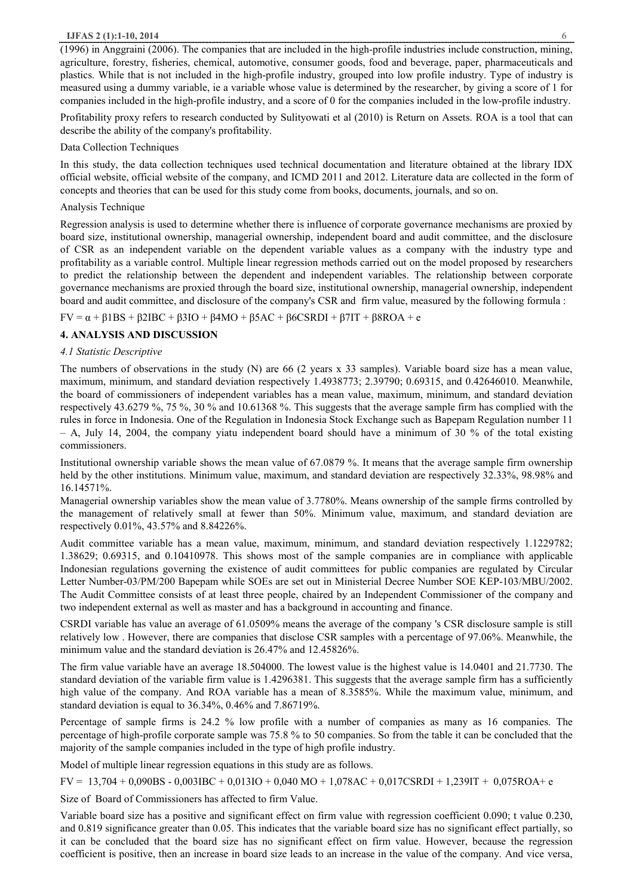#### **IJFAS 2 (1):1-10, 2014** 6

(1996) in Anggraini (2006). The companies that are included in the high-profile industries include construction, mining, agriculture, forestry, fisheries, chemical, automotive, consumer goods, food and beverage, paper, pharmaceuticals and plastics. While that is not included in the high-profile industry, grouped into low profile industry. Type of industry is measured using a dummy variable, ie a variable whose value is determined by the researcher, by giving a score of 1 for companies included in the high-profile industry, and a score of 0 for the companies included in the low-profile industry.

Profitability proxy refers to research conducted by Sulityowati et al (2010) is Return on Assets. ROA is a tool that can describe the ability of the company's profitability.

# Data Collection Techniques

In this study, the data collection techniques used technical documentation and literature obtained at the library IDX official website, official website of the company, and ICMD 2011 and 2012. Literature data are collected in the form of concepts and theories that can be used for this study come from books, documents, journals, and so on.

# Analysis Technique

Regression analysis is used to determine whether there is influence of corporate governance mechanisms are proxied by board size, institutional ownership, managerial ownership, independent board and audit committee, and the disclosure of CSR as an independent variable on the dependent variable values as a company with the industry type and profitability as a variable control. Multiple linear regression methods carried out on the model proposed by researchers to predict the relationship between the dependent and independent variables. The relationship between corporate governance mechanisms are proxied through the board size, institutional ownership, managerial ownership, independent board and audit committee, and disclosure of the company's CSR and firm value, measured by the following formula :

# $FV = \alpha + \beta 1BS + \beta 2IBC + \beta 3IO + \beta 4MO + \beta 5AC + \beta 6CSRDI + \beta 7IT + \beta 8ROA + e$

# **4. ANALYSIS AND DISCUSSION**

## *4.1 Statistic Descriptive*

The numbers of observations in the study (N) are 66 (2 years x 33 samples). Variable board size has a mean value, maximum, minimum, and standard deviation respectively 1.4938773; 2.39790; 0.69315, and 0.42646010. Meanwhile, the board of commissioners of independent variables has a mean value, maximum, minimum, and standard deviation respectively 43.6279 %, 75 %, 30 % and 10.61368 %. This suggests that the average sample firm has complied with the rules in force in Indonesia. One of the Regulation in Indonesia Stock Exchange such as Bapepam Regulation number 11 – A, July 14, 2004, the company yiatu independent board should have a minimum of 30 % of the total existing commissioners.

Institutional ownership variable shows the mean value of 67.0879 %. It means that the average sample firm ownership held by the other institutions. Minimum value, maximum, and standard deviation are respectively 32.33%, 98.98% and 16.14571%.

Managerial ownership variables show the mean value of 3.7780%. Means ownership of the sample firms controlled by the management of relatively small at fewer than 50%. Minimum value, maximum, and standard deviation are respectively 0.01%, 43.57% and 8.84226%.

Audit committee variable has a mean value, maximum, minimum, and standard deviation respectively 1.1229782; 1.38629; 0.69315, and 0.10410978. This shows most of the sample companies are in compliance with applicable Indonesian regulations governing the existence of audit committees for public companies are regulated by Circular Letter Number-03/PM/200 Bapepam while SOEs are set out in Ministerial Decree Number SOE KEP-103/MBU/2002. The Audit Committee consists of at least three people, chaired by an Independent Commissioner of the company and two independent external as well as master and has a background in accounting and finance.

CSRDI variable has value an average of 61.0509% means the average of the company 's CSR disclosure sample is still relatively low . However, there are companies that disclose CSR samples with a percentage of 97.06%. Meanwhile, the minimum value and the standard deviation is 26.47% and 12.45826%.

The firm value variable have an average 18.504000. The lowest value is the highest value is 14.0401 and 21.7730. The standard deviation of the variable firm value is 1.4296381. This suggests that the average sample firm has a sufficiently high value of the company. And ROA variable has a mean of 8.3585%. While the maximum value, minimum, and standard deviation is equal to 36.34%, 0.46% and 7.86719%.

Percentage of sample firms is 24.2 % low profile with a number of companies as many as 16 companies. The percentage of high-profile corporate sample was 75.8 % to 50 companies. So from the table it can be concluded that the majority of the sample companies included in the type of high profile industry.

Model of multiple linear regression equations in this study are as follows.

 $FV = 13,704 + 0,090BS - 0,003IBC + 0,013IO + 0,040 MO + 1,078AC + 0,017CSRDI + 1,239IT + 0,075ROA + e$ 

Size of Board of Commissioners has affected to firm Value.

Variable board size has a positive and significant effect on firm value with regression coefficient 0.090; t value 0.230, and 0.819 significance greater than 0.05. This indicates that the variable board size has no significant effect partially, so it can be concluded that the board size has no significant effect on firm value. However, because the regression coefficient is positive, then an increase in board size leads to an increase in the value of the company. And vice versa,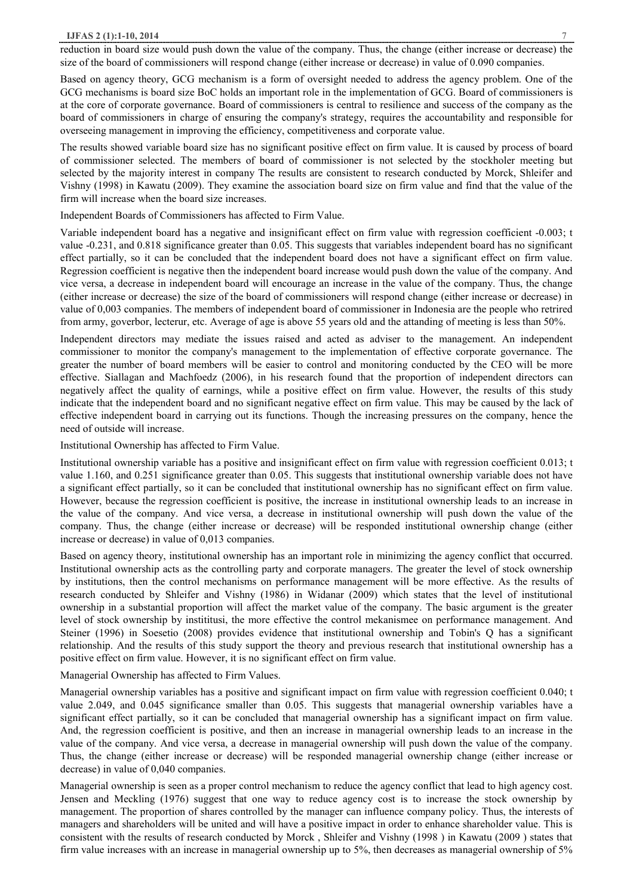#### **IJFAS 2 (1):1-10, 2014** 7

reduction in board size would push down the value of the company. Thus, the change (either increase or decrease) the size of the board of commissioners will respond change (either increase or decrease) in value of 0.090 companies.

Based on agency theory, GCG mechanism is a form of oversight needed to address the agency problem. One of the GCG mechanisms is board size BoC holds an important role in the implementation of GCG. Board of commissioners is at the core of corporate governance. Board of commissioners is central to resilience and success of the company as the board of commissioners in charge of ensuring the company's strategy, requires the accountability and responsible for overseeing management in improving the efficiency, competitiveness and corporate value.

The results showed variable board size has no significant positive effect on firm value. It is caused by process of board of commissioner selected. The members of board of commissioner is not selected by the stockholer meeting but selected by the majority interest in company The results are consistent to research conducted by Morck, Shleifer and Vishny (1998) in Kawatu (2009). They examine the association board size on firm value and find that the value of the firm will increase when the board size increases.

Independent Boards of Commissioners has affected to Firm Value.

Variable independent board has a negative and insignificant effect on firm value with regression coefficient -0.003; t value -0.231, and 0.818 significance greater than 0.05. This suggests that variables independent board has no significant effect partially, so it can be concluded that the independent board does not have a significant effect on firm value. Regression coefficient is negative then the independent board increase would push down the value of the company. And vice versa, a decrease in independent board will encourage an increase in the value of the company. Thus, the change (either increase or decrease) the size of the board of commissioners will respond change (either increase or decrease) in value of 0,003 companies. The members of independent board of commissioner in Indonesia are the people who retrired from army, goverbor, lecterur, etc. Average of age is above 55 years old and the attanding of meeting is less than 50%.

Independent directors may mediate the issues raised and acted as adviser to the management. An independent commissioner to monitor the company's management to the implementation of effective corporate governance. The greater the number of board members will be easier to control and monitoring conducted by the CEO will be more effective. Siallagan and Machfoedz (2006), in his research found that the proportion of independent directors can negatively affect the quality of earnings, while a positive effect on firm value. However, the results of this study indicate that the independent board and no significant negative effect on firm value. This may be caused by the lack of effective independent board in carrying out its functions. Though the increasing pressures on the company, hence the need of outside will increase.

#### Institutional Ownership has affected to Firm Value.

Institutional ownership variable has a positive and insignificant effect on firm value with regression coefficient 0.013; t value 1.160, and 0.251 significance greater than 0.05. This suggests that institutional ownership variable does not have a significant effect partially, so it can be concluded that institutional ownership has no significant effect on firm value. However, because the regression coefficient is positive, the increase in institutional ownership leads to an increase in the value of the company. And vice versa, a decrease in institutional ownership will push down the value of the company. Thus, the change (either increase or decrease) will be responded institutional ownership change (either increase or decrease) in value of 0,013 companies.

Based on agency theory, institutional ownership has an important role in minimizing the agency conflict that occurred. Institutional ownership acts as the controlling party and corporate managers. The greater the level of stock ownership by institutions, then the control mechanisms on performance management will be more effective. As the results of research conducted by Shleifer and Vishny (1986) in Widanar (2009) which states that the level of institutional ownership in a substantial proportion will affect the market value of the company. The basic argument is the greater level of stock ownership by instititusi, the more effective the control mekanismee on performance management. And Steiner (1996) in Soesetio (2008) provides evidence that institutional ownership and Tobin's Q has a significant relationship. And the results of this study support the theory and previous research that institutional ownership has a positive effect on firm value. However, it is no significant effect on firm value.

## Managerial Ownership has affected to Firm Values.

Managerial ownership variables has a positive and significant impact on firm value with regression coefficient 0.040; t value 2.049, and 0.045 significance smaller than 0.05. This suggests that managerial ownership variables have a significant effect partially, so it can be concluded that managerial ownership has a significant impact on firm value. And, the regression coefficient is positive, and then an increase in managerial ownership leads to an increase in the value of the company. And vice versa, a decrease in managerial ownership will push down the value of the company. Thus, the change (either increase or decrease) will be responded managerial ownership change (either increase or decrease) in value of 0,040 companies.

Managerial ownership is seen as a proper control mechanism to reduce the agency conflict that lead to high agency cost. Jensen and Meckling (1976) suggest that one way to reduce agency cost is to increase the stock ownership by management. The proportion of shares controlled by the manager can influence company policy. Thus, the interests of managers and shareholders will be united and will have a positive impact in order to enhance shareholder value. This is consistent with the results of research conducted by Morck , Shleifer and Vishny (1998 ) in Kawatu (2009 ) states that firm value increases with an increase in managerial ownership up to 5%, then decreases as managerial ownership of 5%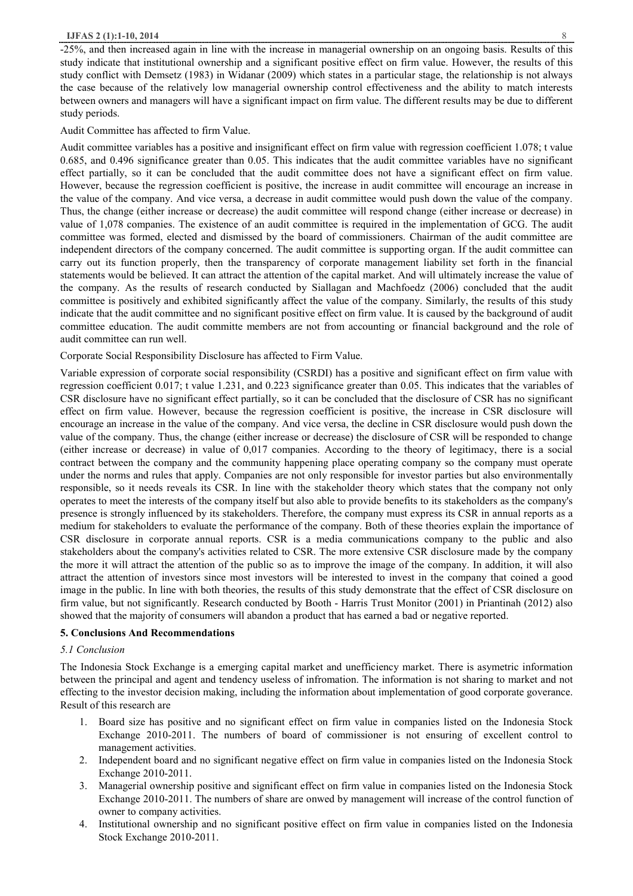-25%, and then increased again in line with the increase in managerial ownership on an ongoing basis. Results of this study indicate that institutional ownership and a significant positive effect on firm value. However, the results of this study conflict with Demsetz (1983) in Widanar (2009) which states in a particular stage, the relationship is not always the case because of the relatively low managerial ownership control effectiveness and the ability to match interests between owners and managers will have a significant impact on firm value. The different results may be due to different study periods.

Audit Committee has affected to firm Value.

Audit committee variables has a positive and insignificant effect on firm value with regression coefficient 1.078; t value 0.685, and 0.496 significance greater than 0.05. This indicates that the audit committee variables have no significant effect partially, so it can be concluded that the audit committee does not have a significant effect on firm value. However, because the regression coefficient is positive, the increase in audit committee will encourage an increase in the value of the company. And vice versa, a decrease in audit committee would push down the value of the company. Thus, the change (either increase or decrease) the audit committee will respond change (either increase or decrease) in value of 1,078 companies. The existence of an audit committee is required in the implementation of GCG. The audit committee was formed, elected and dismissed by the board of commissioners. Chairman of the audit committee are independent directors of the company concerned. The audit committee is supporting organ. If the audit committee can carry out its function properly, then the transparency of corporate management liability set forth in the financial statements would be believed. It can attract the attention of the capital market. And will ultimately increase the value of the company. As the results of research conducted by Siallagan and Machfoedz (2006) concluded that the audit committee is positively and exhibited significantly affect the value of the company. Similarly, the results of this study indicate that the audit committee and no significant positive effect on firm value. It is caused by the background of audit committee education. The audit committe members are not from accounting or financial background and the role of audit committee can run well.

Corporate Social Responsibility Disclosure has affected to Firm Value.

Variable expression of corporate social responsibility (CSRDI) has a positive and significant effect on firm value with regression coefficient 0.017; t value 1.231, and 0.223 significance greater than 0.05. This indicates that the variables of CSR disclosure have no significant effect partially, so it can be concluded that the disclosure of CSR has no significant effect on firm value. However, because the regression coefficient is positive, the increase in CSR disclosure will encourage an increase in the value of the company. And vice versa, the decline in CSR disclosure would push down the value of the company. Thus, the change (either increase or decrease) the disclosure of CSR will be responded to change (either increase or decrease) in value of 0,017 companies. According to the theory of legitimacy, there is a social contract between the company and the community happening place operating company so the company must operate under the norms and rules that apply. Companies are not only responsible for investor parties but also environmentally responsible, so it needs reveals its CSR. In line with the stakeholder theory which states that the company not only operates to meet the interests of the company itself but also able to provide benefits to its stakeholders as the company's presence is strongly influenced by its stakeholders. Therefore, the company must express its CSR in annual reports as a medium for stakeholders to evaluate the performance of the company. Both of these theories explain the importance of CSR disclosure in corporate annual reports. CSR is a media communications company to the public and also stakeholders about the company's activities related to CSR. The more extensive CSR disclosure made by the company the more it will attract the attention of the public so as to improve the image of the company. In addition, it will also attract the attention of investors since most investors will be interested to invest in the company that coined a good image in the public. In line with both theories, the results of this study demonstrate that the effect of CSR disclosure on firm value, but not significantly. Research conducted by Booth - Harris Trust Monitor (2001) in Priantinah (2012) also showed that the majority of consumers will abandon a product that has earned a bad or negative reported.

## **5. Conclusions And Recommendations**

#### *5.1 Conclusion*

The Indonesia Stock Exchange is a emerging capital market and unefficiency market. There is asymetric information between the principal and agent and tendency useless of infromation. The information is not sharing to market and not effecting to the investor decision making, including the information about implementation of good corporate goverance. Result of this research are

- 1. Board size has positive and no significant effect on firm value in companies listed on the Indonesia Stock Exchange 2010-2011. The numbers of board of commissioner is not ensuring of excellent control to management activities.
- 2. Independent board and no significant negative effect on firm value in companies listed on the Indonesia Stock Exchange 2010-2011.
- 3. Managerial ownership positive and significant effect on firm value in companies listed on the Indonesia Stock Exchange 2010-2011. The numbers of share are onwed by management will increase of the control function of owner to company activities.
- 4. Institutional ownership and no significant positive effect on firm value in companies listed on the Indonesia Stock Exchange 2010-2011.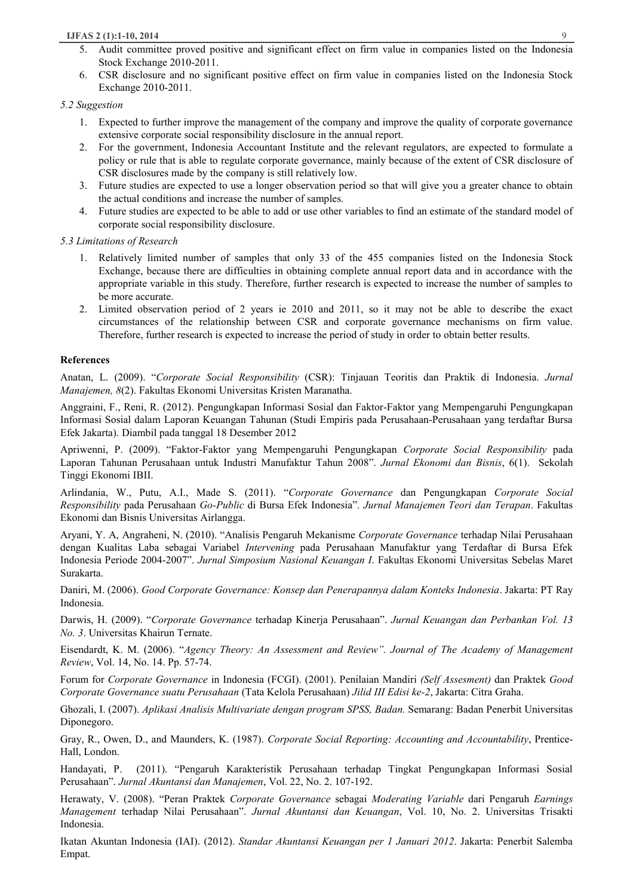## **IJFAS 2 (1):1-10, 2014** 9

- 5. Audit committee proved positive and significant effect on firm value in companies listed on the Indonesia Stock Exchange 2010-2011.
- 6. CSR disclosure and no significant positive effect on firm value in companies listed on the Indonesia Stock Exchange 2010-2011.

## *5.2 Suggestion*

- 1. Expected to further improve the management of the company and improve the quality of corporate governance extensive corporate social responsibility disclosure in the annual report.
- 2. For the government, Indonesia Accountant Institute and the relevant regulators, are expected to formulate a policy or rule that is able to regulate corporate governance, mainly because of the extent of CSR disclosure of CSR disclosures made by the company is still relatively low.
- 3. Future studies are expected to use a longer observation period so that will give you a greater chance to obtain the actual conditions and increase the number of samples.
- 4. Future studies are expected to be able to add or use other variables to find an estimate of the standard model of corporate social responsibility disclosure.

*5.3 Limitations of Research* 

- 1. Relatively limited number of samples that only 33 of the 455 companies listed on the Indonesia Stock Exchange, because there are difficulties in obtaining complete annual report data and in accordance with the appropriate variable in this study. Therefore, further research is expected to increase the number of samples to be more accurate.
- 2. Limited observation period of 2 years ie 2010 and 2011, so it may not be able to describe the exact circumstances of the relationship between CSR and corporate governance mechanisms on firm value. Therefore, further research is expected to increase the period of study in order to obtain better results.

## **References**

Anatan, L. (2009). "*Corporate Social Responsibility* (CSR): Tinjauan Teoritis dan Praktik di Indonesia. *Jurnal Manajemen, 8*(2). Fakultas Ekonomi Universitas Kristen Maranatha.

Anggraini, F., Reni, R. (2012). Pengungkapan Informasi Sosial dan Faktor-Faktor yang Mempengaruhi Pengungkapan Informasi Sosial dalam Laporan Keuangan Tahunan (Studi Empiris pada Perusahaan-Perusahaan yang terdaftar Bursa Efek Jakarta). Diambil pada tanggal 18 Desember 2012

Apriwenni, P. (2009). "Faktor-Faktor yang Mempengaruhi Pengungkapan *Corporate Social Responsibility* pada Laporan Tahunan Perusahaan untuk Industri Manufaktur Tahun 2008". *Jurnal Ekonomi dan Bisnis*, 6(1). Sekolah Tinggi Ekonomi IBII.

Arlindania, W., Putu, A.I., Made S. (2011). "*Corporate Governance* dan Pengungkapan *Corporate Social Responsibility* pada Perusahaan *Go-Public* di Bursa Efek Indonesia". *Jurnal Manajemen Teori dan Terapan*. Fakultas Ekonomi dan Bisnis Universitas Airlangga.

Aryani, Y. A, Angraheni, N. (2010). "Analisis Pengaruh Mekanisme *Corporate Governance* terhadap Nilai Perusahaan dengan Kualitas Laba sebagai Variabel *Intervening* pada Perusahaan Manufaktur yang Terdaftar di Bursa Efek Indonesia Periode 2004-2007". *Jurnal Simposium Nasional Keuangan I*. Fakultas Ekonomi Universitas Sebelas Maret Surakarta.

Daniri, M. (2006). *Good Corporate Governance: Konsep dan Penerapannya dalam Konteks Indonesia*. Jakarta: PT Ray Indonesia.

Darwis, H. (2009). "*Corporate Governance* terhadap Kinerja Perusahaan". *Jurnal Keuangan dan Perbankan Vol. 13 No. 3*. Universitas Khairun Ternate.

Eisendardt, K. M. (2006). "*Agency Theory: An Assessment and Review". Journal of The Academy of Management Review*, Vol. 14, No. 14. Pp. 57-74.

Forum for *Corporate Governance* in Indonesia (FCGI). (2001). Penilaian Mandiri *(Self Assesment)* dan Praktek *Good Corporate Governance suatu Perusahaan* (Tata Kelola Perusahaan) *Jilid III Edisi ke-2*, Jakarta: Citra Graha.

Ghozali, I. (2007). *Aplikasi Analisis Multivariate dengan program SPSS, Badan.* Semarang: Badan Penerbit Universitas Diponegoro.

Gray, R., Owen, D., and Maunders, K. (1987). *Corporate Social Reporting: Accounting and Accountability*, Prentice-Hall, London.

Handayati, P. (2011). "Pengaruh Karakteristik Perusahaan terhadap Tingkat Pengungkapan Informasi Sosial Perusahaan". *Jurnal Akuntansi dan Manajemen*, Vol. 22, No. 2. 107-192.

Herawaty, V. (2008). "Peran Praktek *Corporate Governance* sebagai *Moderating Variable* dari Pengaruh *Earnings Management* terhadap Nilai Perusahaan". *Jurnal Akuntansi dan Keuangan*, Vol. 10, No. 2. Universitas Trisakti Indonesia.

Ikatan Akuntan Indonesia (IAI). (2012). *Standar Akuntansi Keuangan per 1 Januari 2012*. Jakarta: Penerbit Salemba Empat.